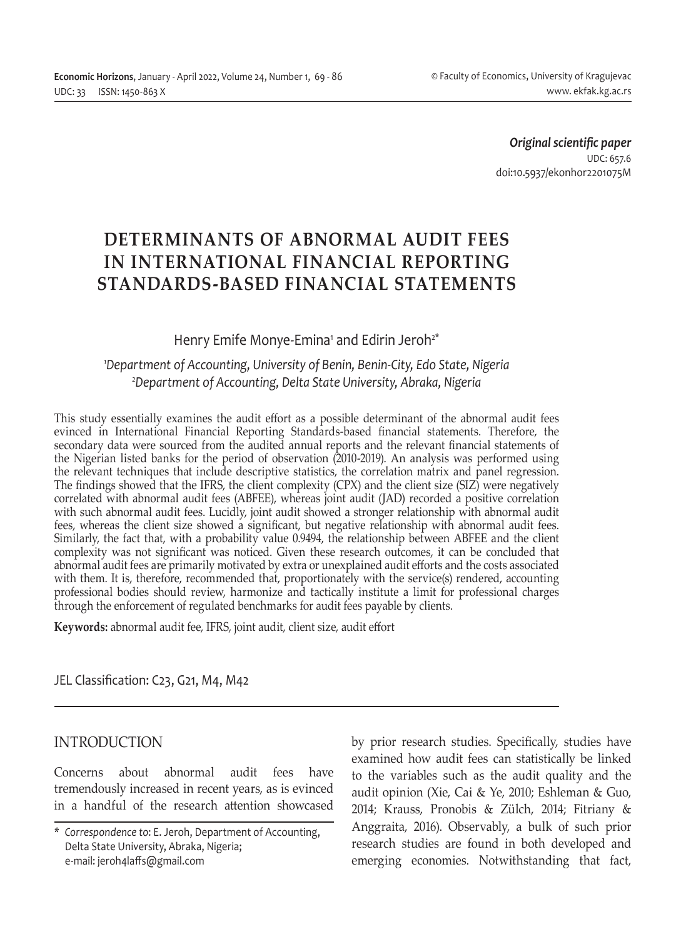*Original scientific paper* UDC: 657.6 doi:10.5937/ekonhor2201075M

# **DETERMINANTS OF ABNORMAL AUDIT FEES IN INTERNATIONAL FINANCIAL REPORTING STANDARDS-BASED FINANCIAL STATEMENTS**

# Henry Emife Monye-Emina<sup>1</sup> and Edirin Jeroh<sup>2\*</sup>

### *1 Department of Accounting, University of Benin, Benin-City, Edo State, Nigeria 2 Department of Accounting, Delta State University, Abraka, Nigeria*

This study essentially examines the audit effort as a possible determinant of the abnormal audit fees evinced in International Financial Reporting Standards-based financial statements. Therefore, the secondary data were sourced from the audited annual reports and the relevant financial statements of the Nigerian listed banks for the period of observation (2010-2019). An analysis was performed using the relevant techniques that include descriptive statistics, the correlation matrix and panel regression. The findings showed that the IFRS, the client complexity (CPX) and the client size (SIZ) were negatively correlated with abnormal audit fees (ABFEE), whereas joint audit (JAD) recorded a positive correlation with such abnormal audit fees. Lucidly, joint audit showed a stronger relationship with abnormal audit fees, whereas the client size showed a significant, but negative relationship with abnormal audit fees. Similarly, the fact that, with a probability value 0.9494, the relationship between ABFEE and the client complexity was not significant was noticed. Given these research outcomes, it can be concluded that abnormal audit fees are primarily motivated by extra or unexplained audit efforts and the costs associated with them. It is, therefore, recommended that, proportionately with the service(s) rendered, accounting professional bodies should review, harmonize and tactically institute a limit for professional charges through the enforcement of regulated benchmarks for audit fees payable by clients.

**Keywords:** abnormal audit fee, IFRS, joint audit, client size, audit effort

JEL Classification: C23, G21, M4, M42

# INTRODUCTION

Concerns about abnormal audit fees have tremendously increased in recent years, as is evinced in a handful of the research attention showcased by prior research studies. Specifically, studies have examined how audit fees can statistically be linked to the variables such as the audit quality and the audit opinion (Xie, Cai & Ye, 2010; Eshleman & Guo, 2014; Krauss, Pronobis & Zülch, 2014; Fitriany & Anggraita, 2016). Observably, a bulk of such prior research studies are found in both developed and emerging economies. Notwithstanding that fact,

*<sup>\*</sup> Correspondence to*: E. Jeroh, Department of Accounting, Delta State University, Abraka, Nigeria; e-mail: jeroh4laffs@gmail.com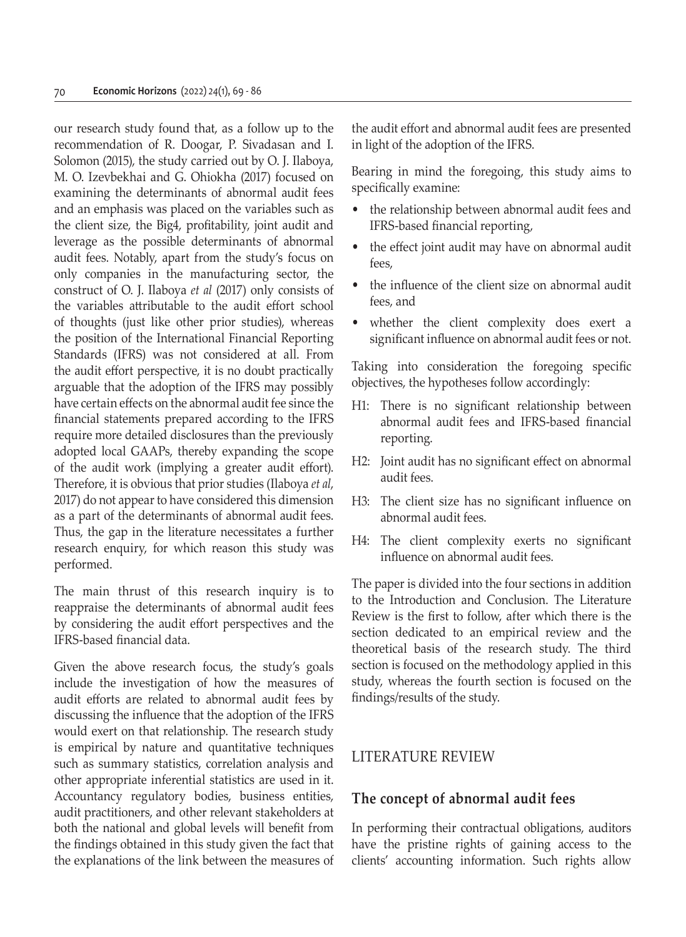our research study found that, as a follow up to the recommendation of R. Doogar, P. Sivadasan and I. Solomon (2015), the study carried out by O. J. Ilaboya, M. O. Izevbekhai and G. Ohiokha (2017) focused on examining the determinants of abnormal audit fees and an emphasis was placed on the variables such as the client size, the Big4, profitability, joint audit and leverage as the possible determinants of abnormal audit fees. Notably, apart from the study's focus on only companies in the manufacturing sector, the construct of O. J. Ilaboya *et al* (2017) only consists of the variables attributable to the audit effort school of thoughts (just like other prior studies), whereas the position of the International Financial Reporting Standards (IFRS) was not considered at all. From the audit effort perspective, it is no doubt practically arguable that the adoption of the IFRS may possibly have certain effects on the abnormal audit fee since the financial statements prepared according to the IFRS require more detailed disclosures than the previously adopted local GAAPs, thereby expanding the scope of the audit work (implying a greater audit effort). Therefore, it is obvious that prior studies (Ilaboya *et al*, 2017) do not appear to have considered this dimension as a part of the determinants of abnormal audit fees. Thus, the gap in the literature necessitates a further research enquiry, for which reason this study was performed.

The main thrust of this research inquiry is to reappraise the determinants of abnormal audit fees by considering the audit effort perspectives and the IFRS-based financial data.

Given the above research focus, the study's goals include the investigation of how the measures of audit efforts are related to abnormal audit fees by discussing the influence that the adoption of the IFRS would exert on that relationship. The research study is empirical by nature and quantitative techniques such as summary statistics, correlation analysis and other appropriate inferential statistics are used in it. Accountancy regulatory bodies, business entities, audit practitioners, and other relevant stakeholders at both the national and global levels will benefit from the findings obtained in this study given the fact that the explanations of the link between the measures of the audit effort and abnormal audit fees are presented in light of the adoption of the IFRS.

Bearing in mind the foregoing, this study aims to specifically examine:

- the relationship between abnormal audit fees and IFRS-based financial reporting,
- the effect joint audit may have on abnormal audit fees,
- the influence of the client size on abnormal audit fees, and
- whether the client complexity does exert a significant influence on abnormal audit fees or not.

Taking into consideration the foregoing specific objectives, the hypotheses follow accordingly:

- H1: There is no significant relationship between abnormal audit fees and IFRS-based financial reporting.
- H2: Joint audit has no significant effect on abnormal audit fees.
- H3: The client size has no significant influence on abnormal audit fees.
- H4: The client complexity exerts no significant influence on abnormal audit fees.

The paper is divided into the four sections in addition to the Introduction and Conclusion. The Literature Review is the first to follow, after which there is the section dedicated to an empirical review and the theoretical basis of the research study. The third section is focused on the methodology applied in this study, whereas the fourth section is focused on the findings/results of the study.

#### LITERATURE REVIEW

#### **The concept of abnormal audit fees**

In performing their contractual obligations, auditors have the pristine rights of gaining access to the clients' accounting information. Such rights allow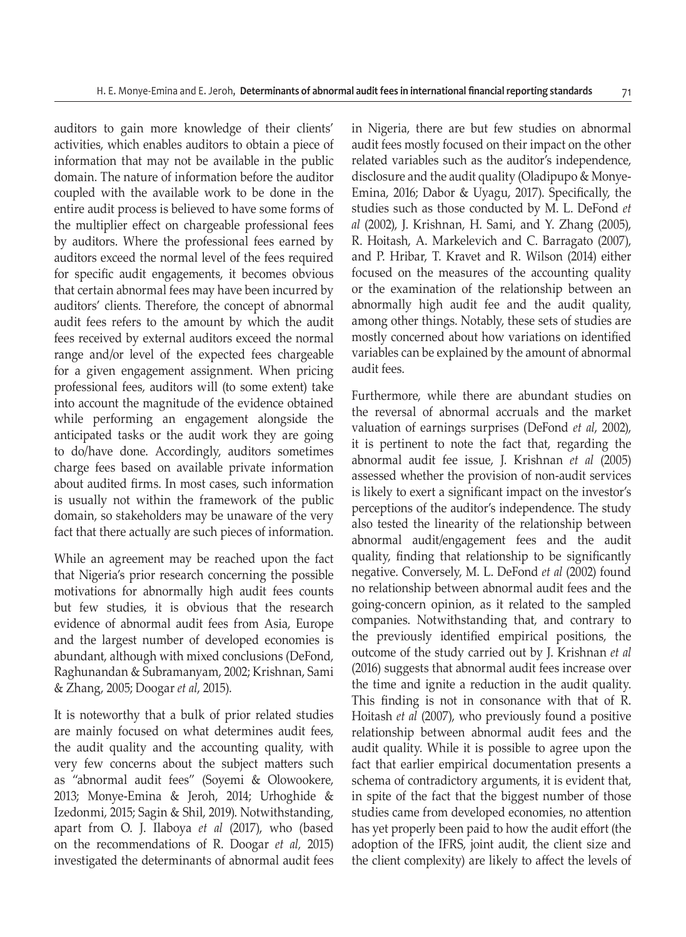auditors to gain more knowledge of their clients' activities, which enables auditors to obtain a piece of information that may not be available in the public domain. The nature of information before the auditor coupled with the available work to be done in the entire audit process is believed to have some forms of the multiplier effect on chargeable professional fees by auditors. Where the professional fees earned by auditors exceed the normal level of the fees required for specific audit engagements, it becomes obvious that certain abnormal fees may have been incurred by auditors' clients. Therefore, the concept of abnormal audit fees refers to the amount by which the audit fees received by external auditors exceed the normal range and/or level of the expected fees chargeable for a given engagement assignment. When pricing professional fees, auditors will (to some extent) take into account the magnitude of the evidence obtained while performing an engagement alongside the anticipated tasks or the audit work they are going to do/have done. Accordingly, auditors sometimes charge fees based on available private information about audited firms. In most cases, such information is usually not within the framework of the public domain, so stakeholders may be unaware of the very fact that there actually are such pieces of information.

While an agreement may be reached upon the fact that Nigeria's prior research concerning the possible motivations for abnormally high audit fees counts but few studies, it is obvious that the research evidence of abnormal audit fees from Asia, Europe and the largest number of developed economies is abundant, although with mixed conclusions (DeFond, Raghunandan & Subramanyam, 2002; Krishnan, Sami & Zhang, 2005; Doogar *et al*, 2015).

It is noteworthy that a bulk of prior related studies are mainly focused on what determines audit fees, the audit quality and the accounting quality, with very few concerns about the subject matters such as "abnormal audit fees" (Soyemi & Olowookere, 2013; Monye-Emina & Jeroh, 2014; Urhoghide & Izedonmi, 2015; Sagin & Shil, 2019). Notwithstanding, apart from O. J. Ilaboya *et al* (2017), who (based on the recommendations of R. Doogar *et al,* 2015) investigated the determinants of abnormal audit fees in Nigeria, there are but few studies on abnormal audit fees mostly focused on their impact on the other related variables such as the auditor's independence, disclosure and the audit quality (Oladipupo & Monye-Emina, 2016; Dabor & Uyagu, 2017). Specifically, the studies such as those conducted by M. L. DeFond *et al* (2002), J. Krishnan, H. Sami, and Y. Zhang (2005), R. Hoitash, A. Markelevich and C. Barragato (2007), and P. Hribar, T. Kravet and R. Wilson (2014) either focused on the measures of the accounting quality or the examination of the relationship between an abnormally high audit fee and the audit quality, among other things. Notably, these sets of studies are mostly concerned about how variations on identified variables can be explained by the amount of abnormal audit fees.

Furthermore, while there are abundant studies on the reversal of abnormal accruals and the market valuation of earnings surprises (DeFond *et al*, 2002), it is pertinent to note the fact that, regarding the abnormal audit fee issue, J. Krishnan *et al* (2005) assessed whether the provision of non-audit services is likely to exert a significant impact on the investor's perceptions of the auditor's independence. The study also tested the linearity of the relationship between abnormal audit/engagement fees and the audit quality, finding that relationship to be significantly negative. Conversely, M. L. DeFond *et al* (2002) found no relationship between abnormal audit fees and the going-concern opinion, as it related to the sampled companies. Notwithstanding that, and contrary to the previously identified empirical positions, the outcome of the study carried out by J. Krishnan *et al* (2016) suggests that abnormal audit fees increase over the time and ignite a reduction in the audit quality. This finding is not in consonance with that of R. Hoitash *et al* (2007), who previously found a positive relationship between abnormal audit fees and the audit quality. While it is possible to agree upon the fact that earlier empirical documentation presents a schema of contradictory arguments, it is evident that, in spite of the fact that the biggest number of those studies came from developed economies, no attention has yet properly been paid to how the audit effort (the adoption of the IFRS, joint audit, the client size and the client complexity) are likely to affect the levels of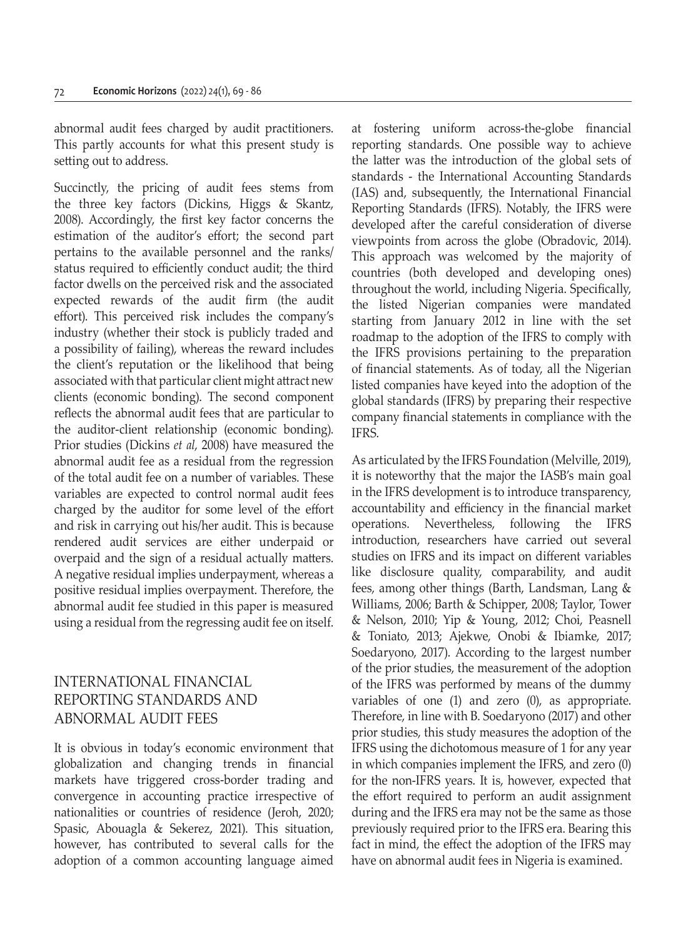abnormal audit fees charged by audit practitioners. This partly accounts for what this present study is setting out to address.

Succinctly, the pricing of audit fees stems from the three key factors (Dickins, Higgs & Skantz, 2008). Accordingly, the first key factor concerns the estimation of the auditor's effort; the second part pertains to the available personnel and the ranks/ status required to efficiently conduct audit; the third factor dwells on the perceived risk and the associated expected rewards of the audit firm (the audit effort). This perceived risk includes the company's industry (whether their stock is publicly traded and a possibility of failing), whereas the reward includes the client's reputation or the likelihood that being associated with that particular client might attract new clients (economic bonding). The second component reflects the abnormal audit fees that are particular to the auditor-client relationship (economic bonding). Prior studies (Dickins *et al*, 2008) have measured the abnormal audit fee as a residual from the regression of the total audit fee on a number of variables. These variables are expected to control normal audit fees charged by the auditor for some level of the effort and risk in carrying out his/her audit. This is because rendered audit services are either underpaid or overpaid and the sign of a residual actually matters. A negative residual implies underpayment, whereas a positive residual implies overpayment. Therefore, the abnormal audit fee studied in this paper is measured using a residual from the regressing audit fee on itself.

# INTERNATIONAL FINANCIAL REPORTING STANDARDS AND ABNORMAL AUDIT FEES

It is obvious in today's economic environment that globalization and changing trends in financial markets have triggered cross-border trading and convergence in accounting practice irrespective of nationalities or countries of residence (Jeroh, 2020; Spasic, Abouagla & Sekerez, 2021). This situation, however, has contributed to several calls for the adoption of a common accounting language aimed at fostering uniform across-the-globe financial reporting standards. One possible way to achieve the latter was the introduction of the global sets of standards - the International Accounting Standards (IAS) and, subsequently, the International Financial Reporting Standards (IFRS). Notably, the IFRS were developed after the careful consideration of diverse viewpoints from across the globe (Obradovic, 2014). This approach was welcomed by the majority of countries (both developed and developing ones) throughout the world, including Nigeria. Specifically, the listed Nigerian companies were mandated starting from January 2012 in line with the set roadmap to the adoption of the IFRS to comply with the IFRS provisions pertaining to the preparation of financial statements. As of today, all the Nigerian listed companies have keyed into the adoption of the global standards (IFRS) by preparing their respective company financial statements in compliance with the IFRS.

As articulated by the IFRS Foundation (Melville, 2019), it is noteworthy that the major the IASB's main goal in the IFRS development is to introduce transparency, accountability and efficiency in the financial market operations. Nevertheless, following the IFRS introduction, researchers have carried out several studies on IFRS and its impact on different variables like disclosure quality, comparability, and audit fees, among other things (Barth, Landsman, Lang & Williams, 2006; Barth & Schipper, 2008; Taylor, Tower & Nelson, 2010; Yip & Young, 2012; Choi, Peasnell & Toniato, 2013; Ajekwe, Onobi & Ibiamke, 2017; Soedaryono, 2017). According to the largest number of the prior studies, the measurement of the adoption of the IFRS was performed by means of the dummy variables of one (1) and zero (0), as appropriate. Therefore, in line with B. Soedaryono (2017) and other prior studies, this study measures the adoption of the IFRS using the dichotomous measure of 1 for any year in which companies implement the IFRS, and zero (0) for the non-IFRS years. It is, however, expected that the effort required to perform an audit assignment during and the IFRS era may not be the same as those previously required prior to the IFRS era. Bearing this fact in mind, the effect the adoption of the IFRS may have on abnormal audit fees in Nigeria is examined.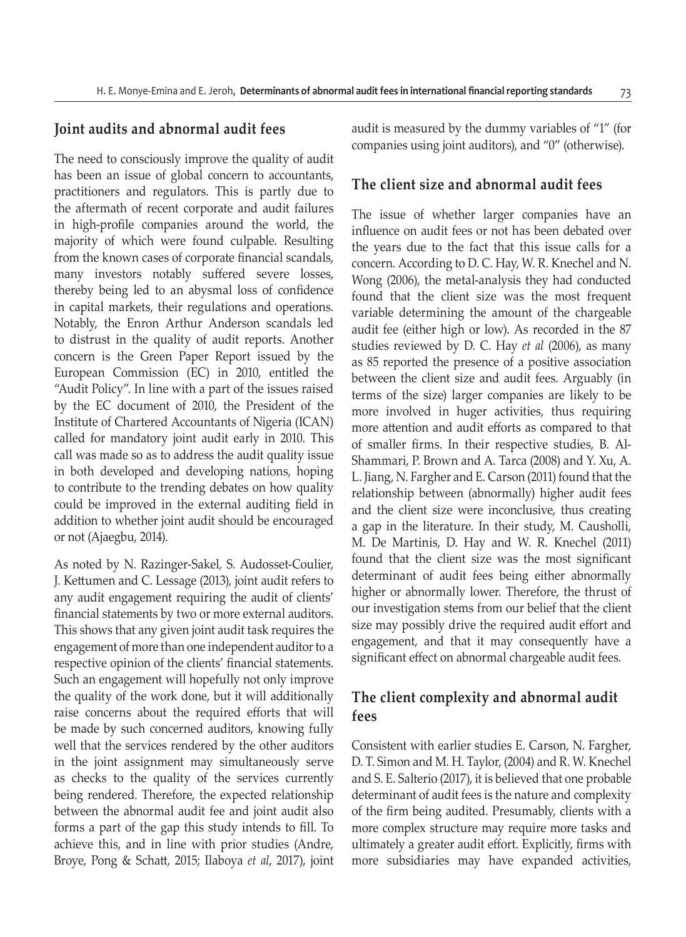#### **Joint audits and abnormal audit fees**

The need to consciously improve the quality of audit has been an issue of global concern to accountants, practitioners and regulators. This is partly due to the aftermath of recent corporate and audit failures in high-profile companies around the world, the majority of which were found culpable. Resulting from the known cases of corporate financial scandals, many investors notably suffered severe losses, thereby being led to an abysmal loss of confidence in capital markets, their regulations and operations. Notably, the Enron Arthur Anderson scandals led to distrust in the quality of audit reports. Another concern is the Green Paper Report issued by the European Commission (EC) in 2010, entitled the "Audit Policy". In line with a part of the issues raised by the EC document of 2010, the President of the Institute of Chartered Accountants of Nigeria (ICAN) called for mandatory joint audit early in 2010. This call was made so as to address the audit quality issue in both developed and developing nations, hoping to contribute to the trending debates on how quality could be improved in the external auditing field in addition to whether joint audit should be encouraged or not (Ajaegbu, 2014).

As noted by N. Razinger-Sakel, S. Audosset-Coulier, J. Kettumen and C. Lessage (2013), joint audit refers to any audit engagement requiring the audit of clients' financial statements by two or more external auditors. This shows that any given joint audit task requires the engagement of more than one independent auditor to a respective opinion of the clients' financial statements. Such an engagement will hopefully not only improve the quality of the work done, but it will additionally raise concerns about the required efforts that will be made by such concerned auditors, knowing fully well that the services rendered by the other auditors in the joint assignment may simultaneously serve as checks to the quality of the services currently being rendered. Therefore, the expected relationship between the abnormal audit fee and joint audit also forms a part of the gap this study intends to fill. To achieve this, and in line with prior studies (Andre, Broye, Pong & Schatt, 2015; Ilaboya *et al*, 2017), joint audit is measured by the dummy variables of "1" (for companies using joint auditors), and "0" (otherwise).

#### **The client size and abnormal audit fees**

The issue of whether larger companies have an influence on audit fees or not has been debated over the years due to the fact that this issue calls for a concern. According to D. C. Hay, W. R. Knechel and N. Wong (2006), the metal-analysis they had conducted found that the client size was the most frequent variable determining the amount of the chargeable audit fee (either high or low). As recorded in the 87 studies reviewed by D. C. Hay *et al* (2006), as many as 85 reported the presence of a positive association between the client size and audit fees. Arguably (in terms of the size) larger companies are likely to be more involved in huger activities, thus requiring more attention and audit efforts as compared to that of smaller firms. In their respective studies, B. Al-Shammari, P. Brown and A. Tarca (2008) and Y. Xu, A. L. Jiang, N. Fargher and E. Carson (2011) found that the relationship between (abnormally) higher audit fees and the client size were inconclusive, thus creating a gap in the literature. In their study, M. Causholli, M. De Martinis, D. Hay and W. R. Knechel (2011) found that the client size was the most significant determinant of audit fees being either abnormally higher or abnormally lower. Therefore, the thrust of our investigation stems from our belief that the client size may possibly drive the required audit effort and engagement, and that it may consequently have a significant effect on abnormal chargeable audit fees.

# **The client complexity and abnormal audit fees**

Consistent with earlier studies E. Carson, N. Fargher, D. T. Simon and M. H. Taylor, (2004) and R. W. Knechel and S. E. Salterio (2017), it is believed that one probable determinant of audit fees is the nature and complexity of the firm being audited. Presumably, clients with a more complex structure may require more tasks and ultimately a greater audit effort. Explicitly, firms with more subsidiaries may have expanded activities,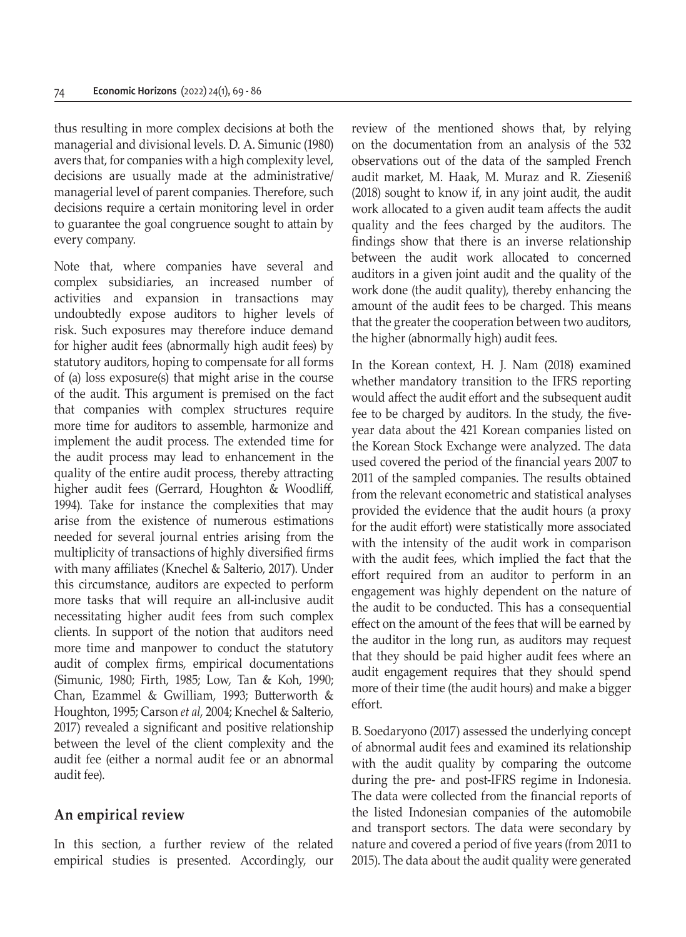thus resulting in more complex decisions at both the managerial and divisional levels. D. A. Simunic (1980) avers that, for companies with a high complexity level, decisions are usually made at the administrative/ managerial level of parent companies. Therefore, such decisions require a certain monitoring level in order to guarantee the goal congruence sought to attain by every company.

Note that, where companies have several and complex subsidiaries, an increased number of activities and expansion in transactions may undoubtedly expose auditors to higher levels of risk. Such exposures may therefore induce demand for higher audit fees (abnormally high audit fees) by statutory auditors, hoping to compensate for all forms of (a) loss exposure(s) that might arise in the course of the audit. This argument is premised on the fact that companies with complex structures require more time for auditors to assemble, harmonize and implement the audit process. The extended time for the audit process may lead to enhancement in the quality of the entire audit process, thereby attracting higher audit fees (Gerrard, Houghton & Woodliff, 1994). Take for instance the complexities that may arise from the existence of numerous estimations needed for several journal entries arising from the multiplicity of transactions of highly diversified firms with many affiliates (Knechel & Salterio, 2017). Under this circumstance, auditors are expected to perform more tasks that will require an all-inclusive audit necessitating higher audit fees from such complex clients. In support of the notion that auditors need more time and manpower to conduct the statutory audit of complex firms, empirical documentations (Simunic, 1980; Firth, 1985; Low, Tan & Koh, 1990; Chan, Ezammel & Gwilliam, 1993; Butterworth & Houghton, 1995; Carson *et al*, 2004; Knechel & Salterio, 2017) revealed a significant and positive relationship between the level of the client complexity and the audit fee (either a normal audit fee or an abnormal audit fee).

### **An empirical review**

In this section, a further review of the related empirical studies is presented. Accordingly, our review of the mentioned shows that, by relying on the documentation from an analysis of the 532 observations out of the data of the sampled French audit market, M. Haak, M. Muraz and R. Zieseniß (2018) sought to know if, in any joint audit, the audit work allocated to a given audit team affects the audit quality and the fees charged by the auditors. The findings show that there is an inverse relationship between the audit work allocated to concerned auditors in a given joint audit and the quality of the work done (the audit quality), thereby enhancing the amount of the audit fees to be charged. This means that the greater the cooperation between two auditors, the higher (abnormally high) audit fees.

In the Korean context, H. J. Nam (2018) examined whether mandatory transition to the IFRS reporting would affect the audit effort and the subsequent audit fee to be charged by auditors. In the study, the fiveyear data about the 421 Korean companies listed on the Korean Stock Exchange were analyzed. The data used covered the period of the financial years 2007 to 2011 of the sampled companies. The results obtained from the relevant econometric and statistical analyses provided the evidence that the audit hours (a proxy for the audit effort) were statistically more associated with the intensity of the audit work in comparison with the audit fees, which implied the fact that the effort required from an auditor to perform in an engagement was highly dependent on the nature of the audit to be conducted. This has a consequential effect on the amount of the fees that will be earned by the auditor in the long run, as auditors may request that they should be paid higher audit fees where an audit engagement requires that they should spend more of their time (the audit hours) and make a bigger effort.

B. Soedaryono (2017) assessed the underlying concept of abnormal audit fees and examined its relationship with the audit quality by comparing the outcome during the pre- and post-IFRS regime in Indonesia. The data were collected from the financial reports of the listed Indonesian companies of the automobile and transport sectors. The data were secondary by nature and covered a period of five years (from 2011 to 2015). The data about the audit quality were generated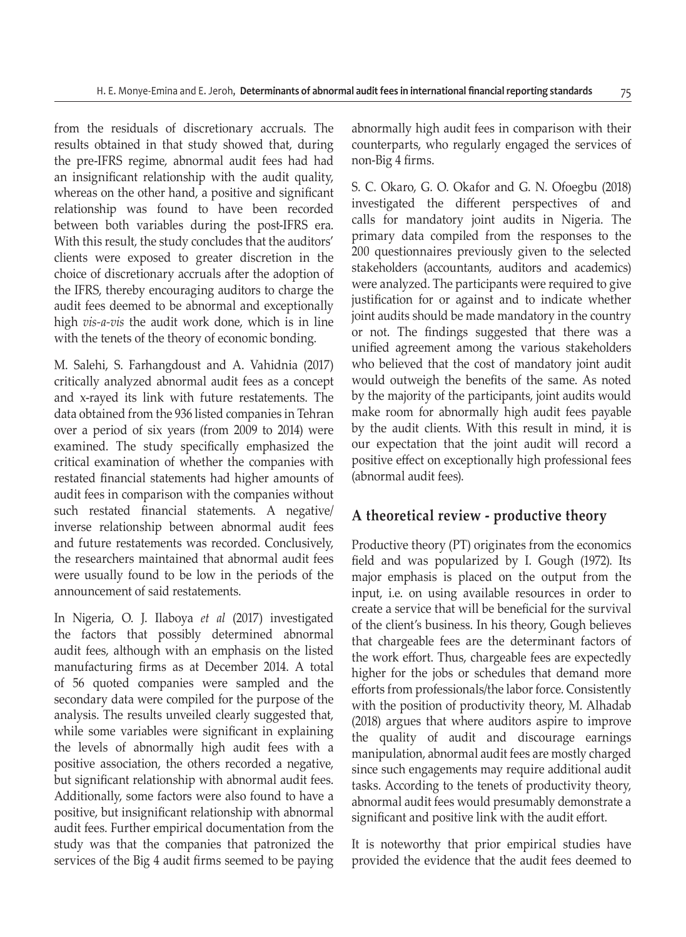from the residuals of discretionary accruals. The results obtained in that study showed that, during the pre-IFRS regime, abnormal audit fees had had an insignificant relationship with the audit quality, whereas on the other hand, a positive and significant relationship was found to have been recorded between both variables during the post-IFRS era. With this result, the study concludes that the auditors' clients were exposed to greater discretion in the choice of discretionary accruals after the adoption of the IFRS, thereby encouraging auditors to charge the audit fees deemed to be abnormal and exceptionally high *vis-a-vis* the audit work done, which is in line with the tenets of the theory of economic bonding.

M. Salehi, S. Farhangdoust and A. Vahidnia (2017) critically analyzed abnormal audit fees as a concept and x-rayed its link with future restatements. The data obtained from the 936 listed companies in Tehran over a period of six years (from 2009 to 2014) were examined. The study specifically emphasized the critical examination of whether the companies with restated financial statements had higher amounts of audit fees in comparison with the companies without such restated financial statements. A negative/ inverse relationship between abnormal audit fees and future restatements was recorded. Conclusively, the researchers maintained that abnormal audit fees were usually found to be low in the periods of the announcement of said restatements.

In Nigeria, O. J. Ilaboya *et al* (2017) investigated the factors that possibly determined abnormal audit fees, although with an emphasis on the listed manufacturing firms as at December 2014. A total of 56 quoted companies were sampled and the secondary data were compiled for the purpose of the analysis. The results unveiled clearly suggested that, while some variables were significant in explaining the levels of abnormally high audit fees with a positive association, the others recorded a negative, but significant relationship with abnormal audit fees. Additionally, some factors were also found to have a positive, but insignificant relationship with abnormal audit fees. Further empirical documentation from the study was that the companies that patronized the services of the Big 4 audit firms seemed to be paying abnormally high audit fees in comparison with their counterparts, who regularly engaged the services of non-Big 4 firms.

S. C. Okaro, G. O. Okafor and G. N. Ofoegbu (2018) investigated the different perspectives of and calls for mandatory joint audits in Nigeria. The primary data compiled from the responses to the 200 questionnaires previously given to the selected stakeholders (accountants, auditors and academics) were analyzed. The participants were required to give justification for or against and to indicate whether joint audits should be made mandatory in the country or not. The findings suggested that there was a unified agreement among the various stakeholders who believed that the cost of mandatory joint audit would outweigh the benefits of the same. As noted by the majority of the participants, joint audits would make room for abnormally high audit fees payable by the audit clients. With this result in mind, it is our expectation that the joint audit will record a positive effect on exceptionally high professional fees (abnormal audit fees).

# **A theoretical review - productive theory**

Productive theory (PT) originates from the economics field and was popularized by I. Gough (1972). Its major emphasis is placed on the output from the input, i.e. on using available resources in order to create a service that will be beneficial for the survival of the client's business. In his theory, Gough believes that chargeable fees are the determinant factors of the work effort. Thus, chargeable fees are expectedly higher for the jobs or schedules that demand more efforts from professionals/the labor force. Consistently with the position of productivity theory, M. Alhadab (2018) argues that where auditors aspire to improve the quality of audit and discourage earnings manipulation, abnormal audit fees are mostly charged since such engagements may require additional audit tasks. According to the tenets of productivity theory, abnormal audit fees would presumably demonstrate a significant and positive link with the audit effort.

It is noteworthy that prior empirical studies have provided the evidence that the audit fees deemed to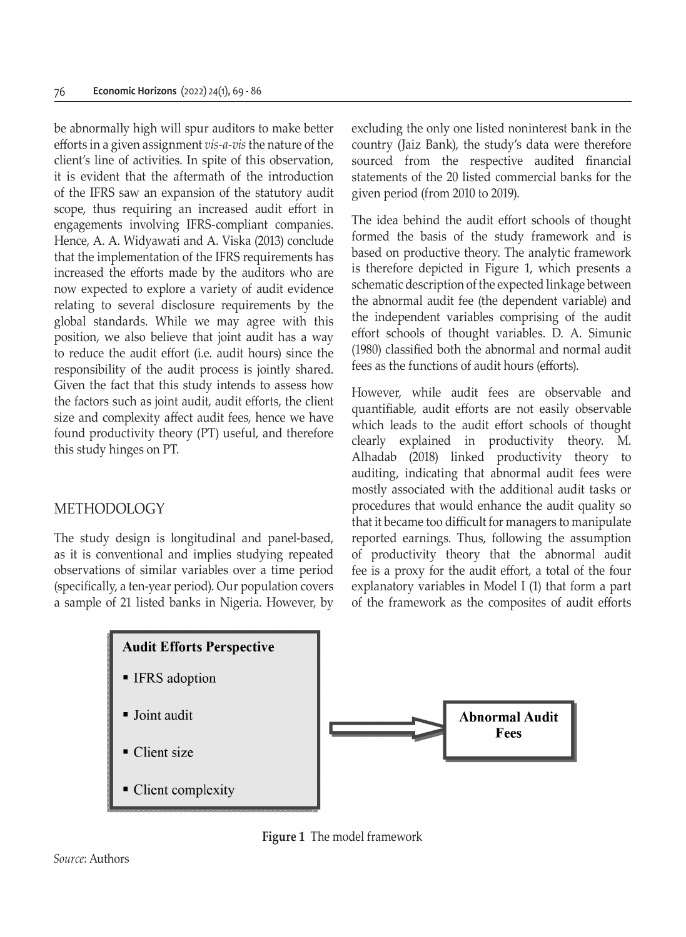be abnormally high will spur auditors to make better efforts in a given assignment *vis-a-vis* the nature of the client's line of activities. In spite of this observation, it is evident that the aftermath of the introduction of the IFRS saw an expansion of the statutory audit scope, thus requiring an increased audit effort in engagements involving IFRS-compliant companies. Hence, A. A. Widyawati and A. Viska (2013) conclude that the implementation of the IFRS requirements has increased the efforts made by the auditors who are now expected to explore a variety of audit evidence relating to several disclosure requirements by the global standards. While we may agree with this position, we also believe that joint audit has a way to reduce the audit effort (i.e. audit hours) since the responsibility of the audit process is jointly shared. Given the fact that this study intends to assess how the factors such as joint audit, audit efforts, the client size and complexity affect audit fees, hence we have found productivity theory (PT) useful, and therefore this study hinges on PT.

### METHODOLOGY

The study design is longitudinal and panel-based, as it is conventional and implies studying repeated observations of similar variables over a time period (specifically, a ten-year period). Our population covers a sample of 21 listed banks in Nigeria. However, by excluding the only one listed noninterest bank in the country (Jaiz Bank), the study's data were therefore sourced from the respective audited financial statements of the 20 listed commercial banks for the given period (from 2010 to 2019).

The idea behind the audit effort schools of thought formed the basis of the study framework and is based on productive theory. The analytic framework is therefore depicted in Figure 1, which presents a schematic description of the expected linkage between the abnormal audit fee (the dependent variable) and the independent variables comprising of the audit effort schools of thought variables. D. A. Simunic (1980) classified both the abnormal and normal audit fees as the functions of audit hours (efforts).

However, while audit fees are observable and quantifiable, audit efforts are not easily observable which leads to the audit effort schools of thought clearly explained in productivity theory. M. Alhadab (2018) linked productivity theory to auditing, indicating that abnormal audit fees were mostly associated with the additional audit tasks or procedures that would enhance the audit quality so that it became too difficult for managers to manipulate reported earnings. Thus, following the assumption of productivity theory that the abnormal audit fee is a proxy for the audit effort, a total of the four explanatory variables in Model I (1) that form a part of the framework as the composites of audit efforts



**Figure 1** The model framework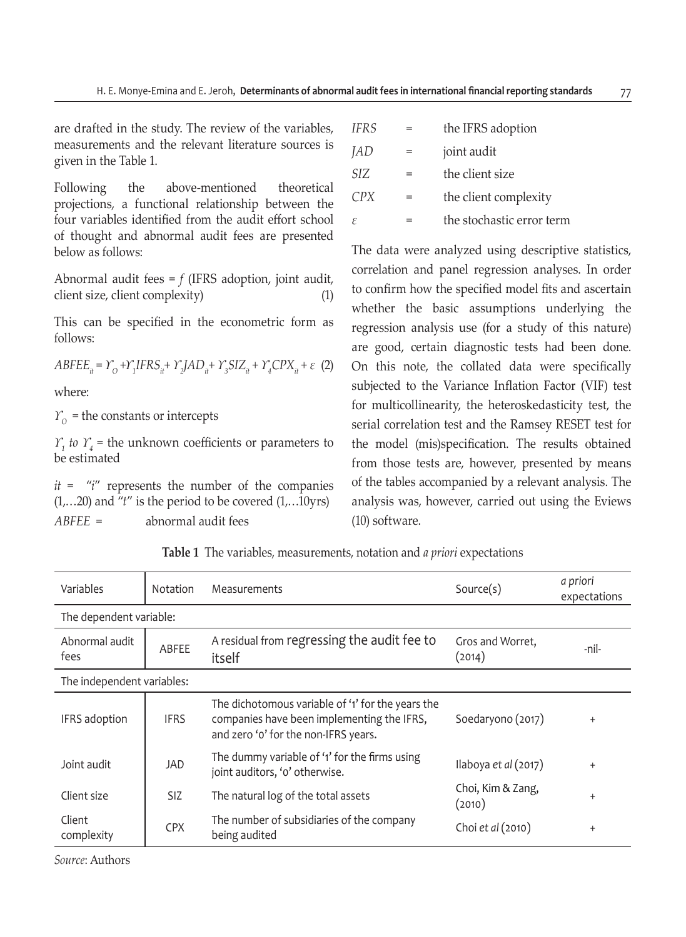are drafted in the study. The review of the variables, measurements and the relevant literature sources is given in the Table 1.

Following the above-mentioned theoretical projections, a functional relationship between the four variables identified from the audit effort school of thought and abnormal audit fees are presented below as follows:

Abnormal audit fees = *f* (IFRS adoption, joint audit, client size, client complexity) (1)

This can be specified in the econometric form as follows:

 $ABFEE_{it} = Y_{O} + Y_{I}IFRS_{it} + Y_{2}JAD_{it} + Y_{3}SLZ_{it} + Y_{4}CPX_{it} + \varepsilon$  (2)

where:

 $Y_{\Omega}$  = the constants or intercepts

*ϒ1 to ϒ<sup>4</sup>* = the unknown coefficients or parameters to be estimated

*it* = "*i*" represents the number of the companies (1,…20) and "*t*" is the period to be covered (1,…10yrs) *ABFEE* = abnormal audit fees

| <b>IFRS</b> |     | the IFRS adoption         |
|-------------|-----|---------------------------|
| JAD         | $=$ | joint audit               |
| SIZ.        | $=$ | the client size           |
| CPX         |     | the client complexity     |
| ε           |     | the stochastic error term |

The data were analyzed using descriptive statistics, correlation and panel regression analyses. In order to confirm how the specified model fits and ascertain whether the basic assumptions underlying the regression analysis use (for a study of this nature) are good, certain diagnostic tests had been done. On this note, the collated data were specifically subjected to the Variance Inflation Factor (VIF) test for multicollinearity, the heteroskedasticity test, the serial correlation test and the Ramsey RESET test for the model (mis)specification. The results obtained from those tests are, however, presented by means of the tables accompanied by a relevant analysis. The analysis was, however, carried out using the Eviews (10) software.

| Variables                  | <b>Notation</b> | Measurements                                                                                                                            | Source(s)                   | a priori<br>expectations |
|----------------------------|-----------------|-----------------------------------------------------------------------------------------------------------------------------------------|-----------------------------|--------------------------|
| The dependent variable:    |                 |                                                                                                                                         |                             |                          |
| Abnormal audit<br>fees     | ABFEE           | A residual from regressing the audit fee to<br>itself                                                                                   | Gros and Worret,<br>(2014)  | -nil-                    |
| The independent variables: |                 |                                                                                                                                         |                             |                          |
| IFRS adoption              | <b>IFRS</b>     | The dichotomous variable of '1' for the years the<br>companies have been implementing the IFRS,<br>and zero 'o' for the non-IFRS years. | Soedaryono (2017)           | $\ddot{}$                |
| Joint audit                | JAD             | The dummy variable of '1' for the firms using<br>joint auditors, 'o' otherwise.                                                         | Ilaboya et al (2017)        | $\ddot{}$                |
| Client size                | <b>SIZ</b>      | The natural log of the total assets                                                                                                     | Choi, Kim & Zang,<br>(2010) | $\ddot{}$                |
| Client<br>complexity       | <b>CPX</b>      | The number of subsidiaries of the company<br>being audited                                                                              | Choi et al (2010)           | $\ddot{}$                |

**Table 1** The variables, measurements, notation and *a priori* expectations

*Source*: Authors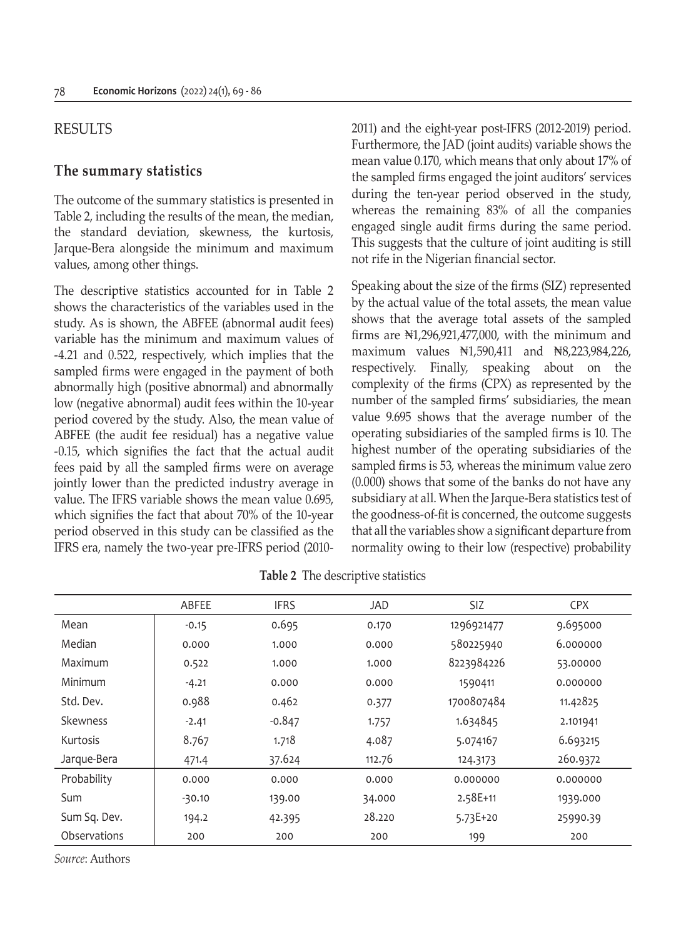### RESULTS

#### **The summary statistics**

The outcome of the summary statistics is presented in Table 2, including the results of the mean, the median, the standard deviation, skewness, the kurtosis, Jarque-Bera alongside the minimum and maximum values, among other things.

The descriptive statistics accounted for in Table 2 shows the characteristics of the variables used in the study. As is shown, the ABFEE (abnormal audit fees) variable has the minimum and maximum values of -4.21 and 0.522, respectively, which implies that the sampled firms were engaged in the payment of both abnormally high (positive abnormal) and abnormally low (negative abnormal) audit fees within the 10-year period covered by the study. Also, the mean value of ABFEE (the audit fee residual) has a negative value -0.15, which signifies the fact that the actual audit fees paid by all the sampled firms were on average jointly lower than the predicted industry average in value. The IFRS variable shows the mean value 0.695, which signifies the fact that about 70% of the 10-year period observed in this study can be classified as the IFRS era, namely the two-year pre-IFRS period (20102011) and the eight-year post-IFRS (2012-2019) period. Furthermore, the JAD (joint audits) variable shows the mean value 0.170, which means that only about 17% of the sampled firms engaged the joint auditors' services during the ten-year period observed in the study, whereas the remaining 83% of all the companies engaged single audit firms during the same period. This suggests that the culture of joint auditing is still not rife in the Nigerian financial sector.

Speaking about the size of the firms (SIZ) represented by the actual value of the total assets, the mean value shows that the average total assets of the sampled firms are  $\mathbb{N}1,296,921,477,000$ , with the minimum and maximum values ₦1,590,411 and ₦8,223,984,226, respectively. Finally, speaking about on the complexity of the firms (CPX) as represented by the number of the sampled firms' subsidiaries, the mean value 9.695 shows that the average number of the operating subsidiaries of the sampled firms is 10. The highest number of the operating subsidiaries of the sampled firms is 53, whereas the minimum value zero (0.000) shows that some of the banks do not have any subsidiary at all. When the Jarque-Bera statistics test of the goodness-of-fit is concerned, the outcome suggests that all the variables show a significant departure from normality owing to their low (respective) probability

|                 | ABFEE    | <b>IFRS</b> | JAD    | SIZ          | <b>CPX</b> |
|-----------------|----------|-------------|--------|--------------|------------|
| Mean            | $-0.15$  | 0.695       | 0.170  | 1296921477   | 9.695000   |
| Median          | 0.000    | 1.000       | 0.000  | 580225940    | 6.000000   |
| Maximum         | 0.522    | 1.000       | 1.000  | 8223984226   | 53.00000   |
| Minimum         | $-4.21$  | 0.000       | 0.000  | 1590411      | 0.000000   |
| Std. Dev.       | 0.988    | 0.462       | 0.377  | 1700807484   | 11.42825   |
| <b>Skewness</b> | $-2.41$  | $-0.847$    | 1.757  | 1.634845     | 2.101941   |
| Kurtosis        | 8.767    | 1.718       | 4.087  | 5.074167     | 6.693215   |
| Jarque-Bera     | 471.4    | 37.624      | 112.76 | 124.3173     | 260.9372   |
| Probability     | 0.000    | 0.000       | 0.000  | 0.000000     | 0.000000   |
| Sum             | $-30.10$ | 139.00      | 34.000 | 2.58E+11     | 1939.000   |
| Sum Sq. Dev.    | 194.2    | 42.395      | 28.220 | $5.73E + 20$ | 25990.39   |
| Observations    | 200      | 200         | 200    | 199          | 200        |

**Table 2** The descriptive statistics

*Source*: Authors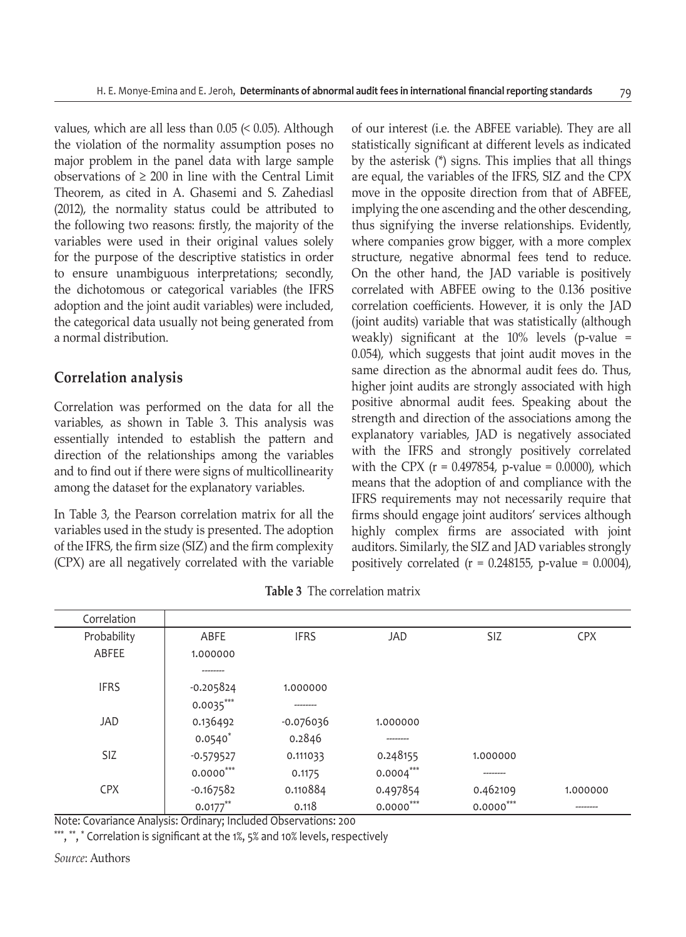values, which are all less than  $0.05 \leq 0.05$ ). Although the violation of the normality assumption poses no major problem in the panel data with large sample observations of  $\geq 200$  in line with the Central Limit Theorem, as cited in A. Ghasemi and S. Zahediasl (2012), the normality status could be attributed to the following two reasons: firstly, the majority of the variables were used in their original values solely for the purpose of the descriptive statistics in order to ensure unambiguous interpretations; secondly, the dichotomous or categorical variables (the IFRS adoption and the joint audit variables) were included, the categorical data usually not being generated from a normal distribution.

# **Correlation analysis**

Correlation was performed on the data for all the variables, as shown in Table 3. This analysis was essentially intended to establish the pattern and direction of the relationships among the variables and to find out if there were signs of multicollinearity among the dataset for the explanatory variables.

In Table 3, the Pearson correlation matrix for all the variables used in the study is presented. The adoption of the IFRS, the firm size (SIZ) and the firm complexity (CPX) are all negatively correlated with the variable of our interest (i.e. the ABFEE variable). They are all statistically significant at different levels as indicated by the asterisk (\*) signs. This implies that all things are equal, the variables of the IFRS, SIZ and the CPX move in the opposite direction from that of ABFEE, implying the one ascending and the other descending, thus signifying the inverse relationships. Evidently, where companies grow bigger, with a more complex structure, negative abnormal fees tend to reduce. On the other hand, the JAD variable is positively correlated with ABFEE owing to the 0.136 positive correlation coefficients. However, it is only the JAD (joint audits) variable that was statistically (although weakly) significant at the 10% levels (p-value = 0.054), which suggests that joint audit moves in the same direction as the abnormal audit fees do. Thus, higher joint audits are strongly associated with high positive abnormal audit fees. Speaking about the strength and direction of the associations among the explanatory variables, JAD is negatively associated with the IFRS and strongly positively correlated with the CPX ( $r = 0.497854$ , p-value = 0.0000), which means that the adoption of and compliance with the IFRS requirements may not necessarily require that firms should engage joint auditors' services although highly complex firms are associated with joint auditors. Similarly, the SIZ and JAD variables strongly positively correlated  $(r = 0.248155, p-value = 0.0004)$ ,

| Correlation |             |             |             |             |            |
|-------------|-------------|-------------|-------------|-------------|------------|
| Probability | ABFE        | <b>IFRS</b> | <b>JAD</b>  | <b>SIZ</b>  | <b>CPX</b> |
| ABFEE       | 1.000000    |             |             |             |            |
|             | --------    |             |             |             |            |
| <b>IFRS</b> | $-0.205824$ | 1.000000    |             |             |            |
|             | $0.0035***$ |             |             |             |            |
| <b>JAD</b>  | 0.136492    | $-0.076036$ | 1.000000    |             |            |
|             | $0.0540*$   | 0.2846      | --------    |             |            |
| <b>SIZ</b>  | $-0.579527$ | 0.111033    | 0.248155    | 1.000000    |            |
|             | $0.0000***$ | 0.1175      | $0.0004***$ | --------    |            |
| <b>CPX</b>  | $-0.167582$ | 0.110884    | 0.497854    | 0.462109    | 1.000000   |
|             | $0.0177***$ | 0.118       | $0.0000***$ | $0.0000***$ | -------    |

**Table 3** The correlation matrix

Note: Covariance Analysis: Ordinary; Included Observations: 200

\*\*\*, \*\*, \* Correlation is significant at the 1%, 5% and 10% levels, respectively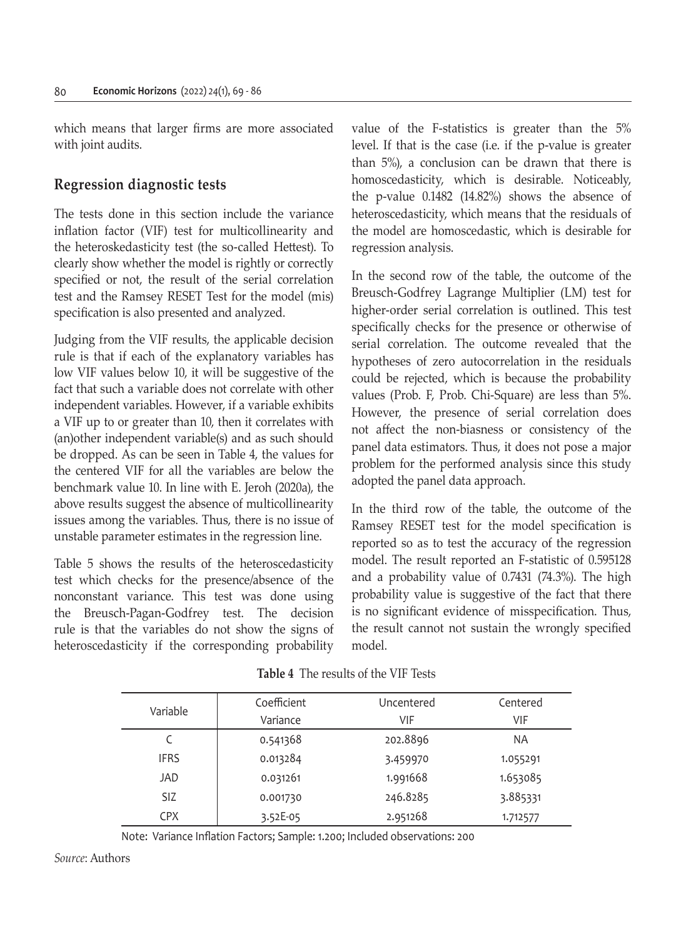which means that larger firms are more associated with joint audits.

# **Regression diagnostic tests**

The tests done in this section include the variance inflation factor (VIF) test for multicollinearity and the heteroskedasticity test (the so-called Hettest). To clearly show whether the model is rightly or correctly specified or not, the result of the serial correlation test and the Ramsey RESET Test for the model (mis) specification is also presented and analyzed.

Judging from the VIF results, the applicable decision rule is that if each of the explanatory variables has low VIF values below 10, it will be suggestive of the fact that such a variable does not correlate with other independent variables. However, if a variable exhibits a VIF up to or greater than 10, then it correlates with (an)other independent variable(s) and as such should be dropped. As can be seen in Table 4, the values for the centered VIF for all the variables are below the benchmark value 10. In line with E. Jeroh (2020a), the above results suggest the absence of multicollinearity issues among the variables. Thus, there is no issue of unstable parameter estimates in the regression line.

Table 5 shows the results of the heteroscedasticity test which checks for the presence/absence of the nonconstant variance. This test was done using the Breusch-Pagan-Godfrey test. The decision rule is that the variables do not show the signs of heteroscedasticity if the corresponding probability value of the F-statistics is greater than the 5% level. If that is the case (i.e. if the p-value is greater than 5%), a conclusion can be drawn that there is homoscedasticity, which is desirable. Noticeably, the p-value 0.1482 (14.82%) shows the absence of heteroscedasticity, which means that the residuals of the model are homoscedastic, which is desirable for regression analysis.

In the second row of the table, the outcome of the Breusch-Godfrey Lagrange Multiplier (LM) test for higher-order serial correlation is outlined. This test specifically checks for the presence or otherwise of serial correlation. The outcome revealed that the hypotheses of zero autocorrelation in the residuals could be rejected, which is because the probability values (Prob. F, Prob. Chi-Square) are less than 5%. However, the presence of serial correlation does not affect the non-biasness or consistency of the panel data estimators. Thus, it does not pose a major problem for the performed analysis since this study adopted the panel data approach.

In the third row of the table, the outcome of the Ramsey RESET test for the model specification is reported so as to test the accuracy of the regression model. The result reported an F-statistic of 0.595128 and a probability value of 0.7431 (74.3%). The high probability value is suggestive of the fact that there is no significant evidence of misspecification. Thus, the result cannot not sustain the wrongly specified model.

| Variable    | Coefficient | Uncentered | Centered  |
|-------------|-------------|------------|-----------|
|             | Variance    | VIF        | VIF       |
|             | 0.541368    | 202.8896   | <b>NA</b> |
| <b>IFRS</b> | 0.013284    | 3.459970   | 1.055291  |
| JAD         | 0.031261    | 1.991668   | 1.653085  |
| <b>SIZ</b>  | 0.001730    | 246.8285   | 3.885331  |
| <b>CPX</b>  | 3.52E-05    | 2.951268   | 1.712577  |

**Table 4** The results of the VIF Tests

Note: Variance Inflation Factors; Sample: 1.200; Included observations: 200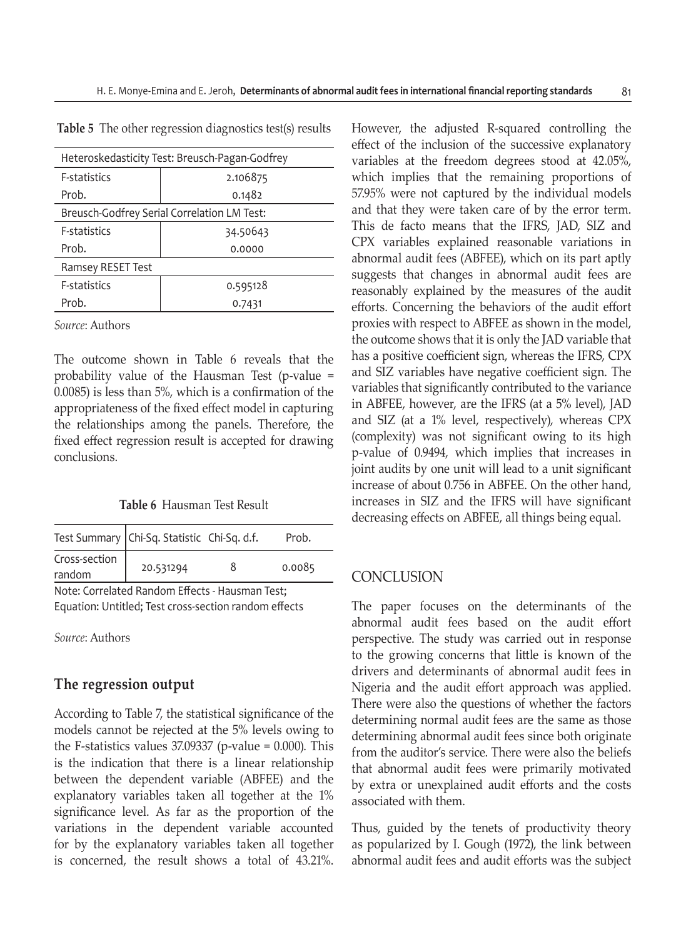| Heteroskedasticity Test: Breusch-Pagan-Godfrey |          |  |  |  |
|------------------------------------------------|----------|--|--|--|
| <b>F-statistics</b>                            | 2.106875 |  |  |  |
| Prob.                                          | 0.1482   |  |  |  |
| Breusch-Godfrey Serial Correlation LM Test:    |          |  |  |  |
| <b>F-statistics</b>                            | 34.50643 |  |  |  |
| Prob.                                          | 0.0000   |  |  |  |
| Ramsey RESET Test                              |          |  |  |  |
| <b>F-statistics</b><br>0.595128                |          |  |  |  |
| Prob.                                          | 0.7431   |  |  |  |

**Table 5** The other regression diagnostics test(s) results

*Source*: Authors

The outcome shown in Table 6 reveals that the probability value of the Hausman Test (p-value = 0.0085) is less than 5%, which is a confirmation of the appropriateness of the fixed effect model in capturing the relationships among the panels. Therefore, the fixed effect regression result is accepted for drawing conclusions.

**Table 6** Hausman Test Result

|               | Test Summary   Chi-Sq. Statistic Chi-Sq. d.f. | Prob.  |
|---------------|-----------------------------------------------|--------|
| Cross-section | 20.531294                                     | 0.0085 |
| random        |                                               |        |
| $\cdots$      |                                               |        |

Note: Correlated Random Effects - Hausman Test; Equation: Untitled; Test cross-section random effects

*Source*: Authors

### **The regression output**

According to Table 7, the statistical significance of the models cannot be rejected at the 5% levels owing to the F-statistics values  $37.09337$  (p-value = 0.000). This is the indication that there is a linear relationship between the dependent variable (ABFEE) and the explanatory variables taken all together at the 1% significance level. As far as the proportion of the variations in the dependent variable accounted for by the explanatory variables taken all together is concerned, the result shows a total of 43.21%.

However, the adjusted R-squared controlling the effect of the inclusion of the successive explanatory variables at the freedom degrees stood at 42.05%, which implies that the remaining proportions of 57.95% were not captured by the individual models and that they were taken care of by the error term. This de facto means that the IFRS, JAD, SIZ and CPX variables explained reasonable variations in abnormal audit fees (ABFEE), which on its part aptly suggests that changes in abnormal audit fees are reasonably explained by the measures of the audit efforts. Concerning the behaviors of the audit effort proxies with respect to ABFEE as shown in the model, the outcome shows that it is only the JAD variable that has a positive coefficient sign, whereas the IFRS, CPX and SIZ variables have negative coefficient sign. The variables that significantly contributed to the variance in ABFEE, however, are the IFRS (at a 5% level), JAD and SIZ (at a 1% level, respectively), whereas CPX (complexity) was not significant owing to its high p-value of 0.9494, which implies that increases in joint audits by one unit will lead to a unit significant increase of about 0.756 in ABFEE. On the other hand, increases in SIZ and the IFRS will have significant decreasing effects on ABFEE, all things being equal.

#### **CONCLUSION**

The paper focuses on the determinants of the abnormal audit fees based on the audit effort perspective. The study was carried out in response to the growing concerns that little is known of the drivers and determinants of abnormal audit fees in Nigeria and the audit effort approach was applied. There were also the questions of whether the factors determining normal audit fees are the same as those determining abnormal audit fees since both originate from the auditor's service. There were also the beliefs that abnormal audit fees were primarily motivated by extra or unexplained audit efforts and the costs associated with them.

Thus, guided by the tenets of productivity theory as popularized by I. Gough (1972), the link between abnormal audit fees and audit efforts was the subject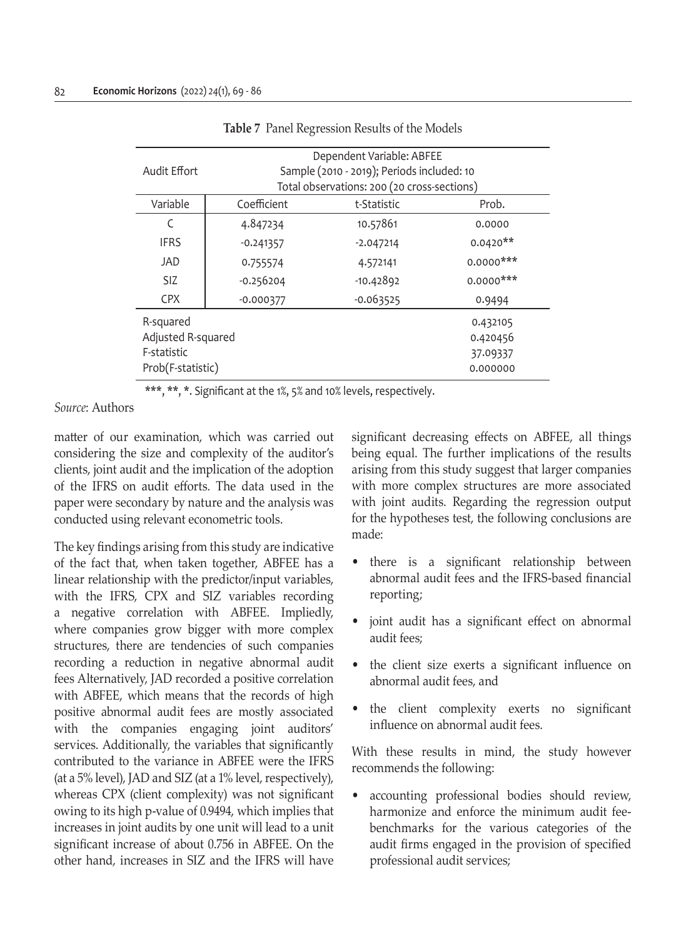| Audit Effort                                                        | Dependent Variable: ABFEE<br>Sample (2010 - 2019); Periods included: 10<br>Total observations: 200 (20 cross-sections) |             |                                              |  |  |  |
|---------------------------------------------------------------------|------------------------------------------------------------------------------------------------------------------------|-------------|----------------------------------------------|--|--|--|
| Variable                                                            | Coefficient                                                                                                            | t-Statistic | Prob.                                        |  |  |  |
| C                                                                   | 4.847234                                                                                                               | 10.57861    | 0.0000                                       |  |  |  |
| <b>IFRS</b>                                                         | $-0.241357$                                                                                                            | $-2.047214$ | $0.0420**$                                   |  |  |  |
| JAD                                                                 | 0.755574                                                                                                               | 4.572141    | $0.0000$ ***                                 |  |  |  |
| <b>SIZ</b>                                                          | $-0.256204$                                                                                                            | $-10.42892$ | $0.0000$ ***                                 |  |  |  |
| <b>CPX</b>                                                          | $-0.000377$                                                                                                            | $-0.063525$ | 0.9494                                       |  |  |  |
| R-squared<br>Adjusted R-squared<br>F-statistic<br>Prob(F-statistic) |                                                                                                                        |             | 0.432105<br>0.420456<br>37.09337<br>0.000000 |  |  |  |

#### **Table 7** Panel Regression Results of the Models

\*\*\*, \*\*, \*. Significant at the 1%, 5% and 10% levels, respectively.

*Source*: Authors

matter of our examination, which was carried out considering the size and complexity of the auditor's clients, joint audit and the implication of the adoption of the IFRS on audit efforts. The data used in the paper were secondary by nature and the analysis was conducted using relevant econometric tools.

The key findings arising from this study are indicative of the fact that, when taken together, ABFEE has a linear relationship with the predictor/input variables, with the IFRS, CPX and SIZ variables recording a negative correlation with ABFEE. Impliedly, where companies grow bigger with more complex structures, there are tendencies of such companies recording a reduction in negative abnormal audit fees Alternatively, JAD recorded a positive correlation with ABFEE, which means that the records of high positive abnormal audit fees are mostly associated with the companies engaging joint auditors' services. Additionally, the variables that significantly contributed to the variance in ABFEE were the IFRS (at a 5% level), JAD and SIZ (at a 1% level, respectively), whereas CPX (client complexity) was not significant owing to its high p-value of 0.9494, which implies that increases in joint audits by one unit will lead to a unit significant increase of about 0.756 in ABFEE. On the other hand, increases in SIZ and the IFRS will have significant decreasing effects on ABFEE, all things being equal. The further implications of the results arising from this study suggest that larger companies with more complex structures are more associated with joint audits. Regarding the regression output for the hypotheses test, the following conclusions are made:

- there is a significant relationship between abnormal audit fees and the IFRS-based financial reporting;
- joint audit has a significant effect on abnormal audit fees;
- the client size exerts a significant influence on abnormal audit fees, and
- the client complexity exerts no significant influence on abnormal audit fees.

With these results in mind, the study however recommends the following:

• accounting professional bodies should review, harmonize and enforce the minimum audit feebenchmarks for the various categories of the audit firms engaged in the provision of specified professional audit services;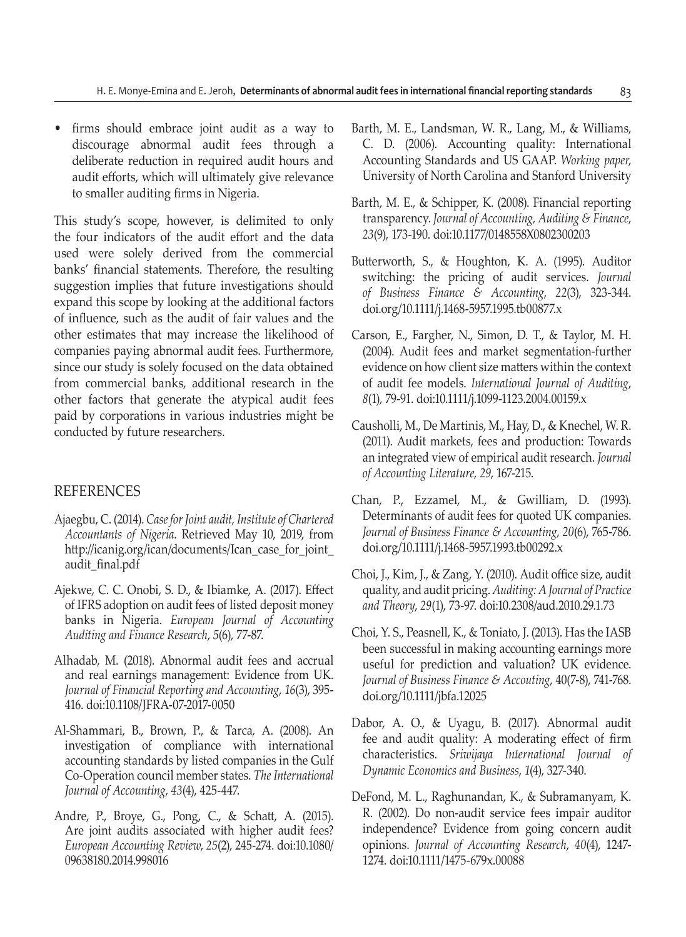• firms should embrace joint audit as a way to discourage abnormal audit fees through a deliberate reduction in required audit hours and audit efforts, which will ultimately give relevance to smaller auditing firms in Nigeria.

This study's scope, however, is delimited to only the four indicators of the audit effort and the data used were solely derived from the commercial banks' financial statements. Therefore, the resulting suggestion implies that future investigations should expand this scope by looking at the additional factors of influence, such as the audit of fair values and the other estimates that may increase the likelihood of companies paying abnormal audit fees. Furthermore, since our study is solely focused on the data obtained from commercial banks, additional research in the other factors that generate the atypical audit fees paid by corporations in various industries might be conducted by future researchers.

### REFERENCES

- Ajaegbu, C. (2014). *Case for Joint audit, Institute of Chartered Accountants of Nigeria*. Retrieved May 10, 2019, from http://icanig.org/ican/documents/Ican\_case\_for\_joint\_ audit\_final.pdf
- Ajekwe, C. C. Onobi, S. D., & Ibiamke, A. (2017). Effect of IFRS adoption on audit fees of listed deposit money banks in Nigeria. *European Journal of Accounting Auditing and Finance Research*, *5*(6), 77-87.
- Alhadab, M. (2018). Abnormal audit fees and accrual and real earnings management: Evidence from UK. *Journal of Financial Reporting and Accounting*, *16*(3), 395- 416. doi:10.1108/JFRA-07-2017-0050
- Al-Shammari, B., Brown, P., & Tarca, A. (2008). An investigation of compliance with international accounting standards by listed companies in the Gulf Co-Operation council member states. *The International Journal of Accounting*, *43*(4), 425-447.
- Andre, P., Broye, G., Pong, C., & Schatt, A. (2015). Are joint audits associated with higher audit fees? *European Accounting Review*, *25*(2), 245-274. doi:10.1080/ 09638180.2014.998016
- Barth, M. E., Landsman, W. R., Lang, M., & Williams, C. D. (2006). Accounting quality: International Accounting Standards and US GAAP. *Working paper*, University of North Carolina and Stanford University
- Barth, M. E., & Schipper, K. (2008). Financial reporting transparency. *Journal of Accounting, Auditing & Finance*, *23*(9), 173-190. doi:10.1177/0148558X0802300203
- Butterworth, S., & Houghton, K. A. (1995). Auditor switching: the pricing of audit services. *Journal of Business Finance & Accounting*, *22*(3), 323-344. doi.org/10.1111/j.1468-5957.1995.tb00877.x
- Carson, E., Fargher, N., Simon, D. T., & Taylor, M. H. (2004). Audit fees and market segmentation-further evidence on how client size matters within the context of audit fee models. *International Journal of Auditing*, *8*(1), 79-91. doi:10.1111/j.1099-1123.2004.00159.x
- Causholli, M., De Martinis, M., Hay, D., & Knechel, W. R. (2011). Audit markets, fees and production: Towards an integrated view of empirical audit research. *Journal of Accounting Literature, 29*, 167-215.
- Chan, P., Ezzamel, M., & Gwilliam, D. (1993). Determinants of audit fees for quoted UK companies. *Journal of Business Finance & Accounting*, *20*(6), 765-786. doi.org/10.1111/j.1468-5957.1993.tb00292.x
- Choi, J., Kim, J., & Zang, Y. (2010). Audit office size, audit quality, and audit pricing. *Auditing: A Journal of Practice and Theory*, *29*(1), 73-97. doi:10.2308/aud.2010.29.1.73
- Choi, Y. S., Peasnell, K., & Toniato, J. (2013). Has the IASB been successful in making accounting earnings more useful for prediction and valuation? UK evidence. *Journal of Business Finance & Accouting*, 40(7-8), 741-768. doi.org/10.1111/jbfa.12025
- Dabor, A. O., & Uyagu, B. (2017). Abnormal audit fee and audit quality: A moderating effect of firm characteristics. *Sriwijaya International Journal of Dynamic Economics and Business*, *1*(4), 327-340.
- DeFond, M. L., Raghunandan, K., & Subramanyam, K. R. (2002). Do non-audit service fees impair auditor independence? Evidence from going concern audit opinions. *Journal of Accounting Research*, *40*(4), 1247- 1274. doi:10.1111/1475-679x.00088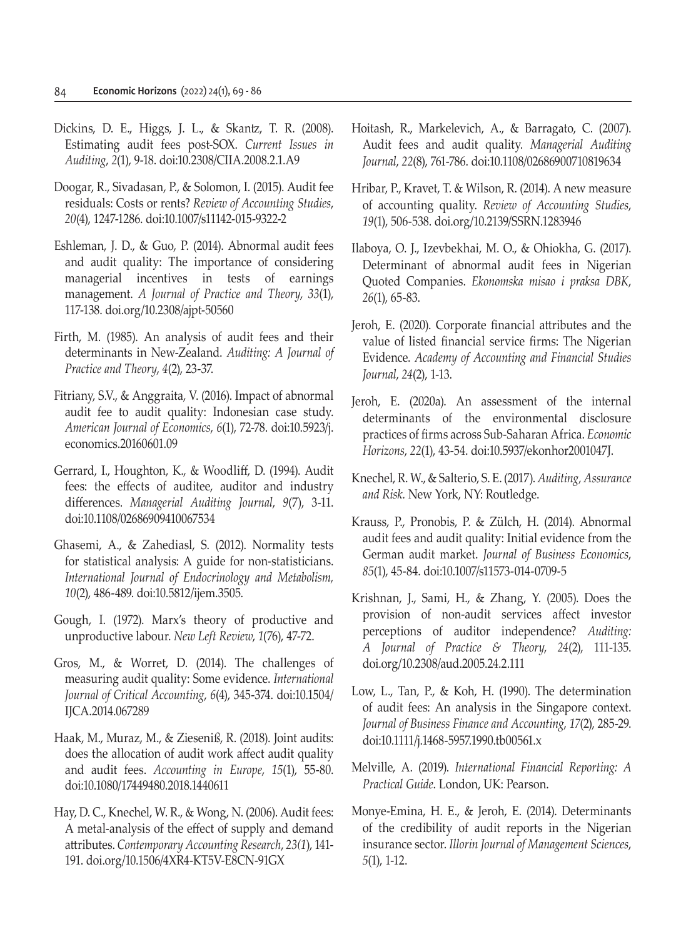- Dickins, D. E., Higgs, J. L., & Skantz, T. R. (2008). Estimating audit fees post-SOX. *Current Issues in Auditing*, *2*(1), 9-18. doi:10.2308/CIIA.2008.2.1.A9
- Doogar, R., Sivadasan, P., & Solomon, I. (2015). Audit fee residuals: Costs or rents? *Review of Accounting Studies*, *20*(4), 1247-1286. doi:10.1007/s11142-015-9322-2
- Eshleman, J. D., & Guo, P. (2014). Abnormal audit fees and audit quality: The importance of considering managerial incentives in tests of earnings management. *A Journal of Practice and Theory*, *33*(1), 117-138. doi.org/10.2308/ajpt-50560
- Firth, M. (1985). An analysis of audit fees and their determinants in New-Zealand. *Auditing: A Journal of Practice and Theory*, *4*(2), 23-37.
- Fitriany, S.V., & Anggraita, V. (2016). Impact of abnormal audit fee to audit quality: Indonesian case study. *American Journal of Economics*, *6*(1), 72-78. doi:10.5923/j. economics.20160601.09
- Gerrard, I., Houghton, K., & Woodliff, D. (1994). Audit fees: the effects of auditee, auditor and industry differences. *Managerial Auditing Journal*, *9*(7), 3-11. doi:10.1108/02686909410067534
- Ghasemi, A., & Zahediasl, S. (2012). Normality tests for statistical analysis: A guide for non-statisticians. *International Journal of Endocrinology and Metabolism, 10*(2), 486-489. doi:10.5812/ijem.3505.
- Gough, I. (1972). Marx's theory of productive and unproductive labour. *New Left Review*, *1*(76), 47-72.
- Gros, M., & Worret, D. (2014). The challenges of measuring audit quality: Some evidence. *International Journal of Critical Accounting*, *6*(4), 345-374. doi:10.1504/ IJCA.2014.067289
- Haak, M., Muraz, M., & Zieseniß, R. (2018). Joint audits: does the allocation of audit work affect audit quality and audit fees. *Accounting in Europe*, *15*(1), 55-80. doi:10.1080/17449480.2018.1440611
- Hay, D. C., Knechel, W. R., & Wong, N. (2006). Audit fees: A metal-analysis of the effect of supply and demand attributes. *Contemporary Accounting Research*, *23(1*), 141- 191. doi.org/10.1506/4XR4-KT5V-E8CN-91GX
- Hoitash, R., Markelevich, A., & Barragato, C. (2007). Audit fees and audit quality. *Managerial Auditing Journal*, *22*(8), 761-786. doi:10.1108/02686900710819634
- Hribar, P., Kravet, T. & Wilson, R. (2014). A new measure of accounting quality. *Review of Accounting Studies*, *19*(1), 506-538. doi.org/10.2139/SSRN.1283946
- Ilaboya, O. J., Izevbekhai, M. O., & Ohiokha, G. (2017). Determinant of abnormal audit fees in Nigerian Quoted Companies. *Ekonomska misao i praksa DBK*, *26*(1), 65-83.
- Jeroh, E. (2020). Corporate financial attributes and the value of listed financial service firms: The Nigerian Evidence. *Academy of Accounting and Financial Studies Journal*, *24*(2), 1-13.
- Jeroh, E. (2020a). An assessment of the internal determinants of the environmental disclosure practices of firms across Sub-Saharan Africa. *Economic Horizons*, *22*(1), 43-54. doi:10.5937/ekonhor2001047J.
- Knechel, R. W., & Salterio, S. E. (2017). *Auditing, Assurance and Risk.* New York, NY: Routledge.
- Krauss, P., Pronobis, P. & Zülch, H. (2014). Abnormal audit fees and audit quality: Initial evidence from the German audit market. *Journal of Business Economics*, *85*(1), 45-84. doi:10.1007/s11573-014-0709-5
- Krishnan, J., Sami, H., & Zhang, Y. (2005). Does the provision of non-audit services affect investor perceptions of auditor independence? *Auditing: A Journal of Practice & Theory*, *24*(2), 111-135. doi.org/10.2308/aud.2005.24.2.111
- Low, L., Tan, P., & Koh, H. (1990). The determination of audit fees: An analysis in the Singapore context. *Journal of Business Finance and Accounting*, *17*(2), 285-29. doi:10.1111/j.1468-5957.1990.tb00561.x
- Melville, A. (2019). *International Financial Reporting: A Practical Guide*. London, UK: Pearson.
- Monye-Emina, H. E., & Jeroh, E. (2014). Determinants of the credibility of audit reports in the Nigerian insurance sector. *Illorin Journal of Management Sciences*, *5*(1), 1-12.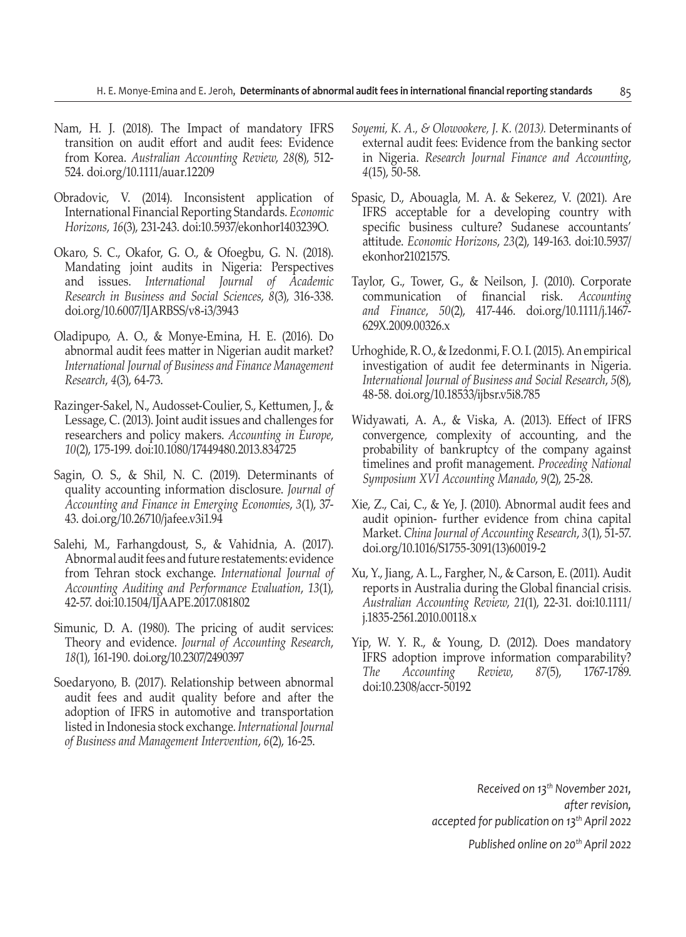- Nam, H. J. (2018). The Impact of mandatory IFRS transition on audit effort and audit fees: Evidence from Korea. *Australian Accounting Review*, *28*(8), 512- 524. doi.org/10.1111/auar.12209
- Obradovic, V. (2014). Inconsistent application of International Financial Reporting Standards. *Economic Horizons*, *16*(3), 231-243. doi:10.5937/ekonhor1403239O.
- Okaro, S. C., Okafor, G. O., & Ofoegbu, G. N. (2018). Mandating joint audits in Nigeria: Perspectives and issues. *International Journal of Academic Research in Business and Social Sciences*, *8*(3), 316-338. doi.org/10.6007/IJARBSS/v8-i3/3943
- Oladipupo, A. O., & Monye-Emina, H. E. (2016). Do abnormal audit fees matter in Nigerian audit market? *International Journal of Business and Finance Management Research*, *4*(3), 64-73.
- Razinger-Sakel, N., Audosset-Coulier, S., Kettumen, J., & Lessage, C. (2013). Joint audit issues and challenges for researchers and policy makers. *Accounting in Europe*, *10*(2), 175-199. doi:10.1080/17449480.2013.834725
- Sagin, O. S., & Shil, N. C. (2019). Determinants of quality accounting information disclosure. *Journal of Accounting and Finance in Emerging Economies*, *3*(1), 37- 43. doi.org/10.26710/jafee.v3i1.94
- Salehi, M., Farhangdoust, S., & Vahidnia, A. (2017). Abnormal audit fees and future restatements: evidence from Tehran stock exchange. *International Journal of Accounting Auditing and Performance Evaluation*, *13*(1), 42-57. doi:10.1504/IJAAPE.2017.081802
- Simunic, D. A. (1980). The pricing of audit services: Theory and evidence. *Journal of Accounting Research*, *18*(1), 161-190. doi.org/10.2307/2490397
- Soedaryono, B. (2017). Relationship between abnormal audit fees and audit quality before and after the adoption of IFRS in automotive and transportation listed in Indonesia stock exchange. *International Journal of Business and Management Intervention*, *6*(2), 16-25.
- *Soyemi, K. A., & Olowookere, J. K. (2013).* Determinants of external audit fees: Evidence from the banking sector in Nigeria. *Research Journal Finance and Accounting*, *4*(15), 50-58.
- Spasic, D., Abouagla, M. A. & Sekerez, V. (2021). Are IFRS acceptable for a developing country with specific business culture? Sudanese accountants' attitude. *Economic Horizons*, *23*(2), 149-163. doi:10.5937/ ekonhor2102157S.
- Taylor, G., Tower, G., & Neilson, J. (2010). Corporate communication of financial risk. *Accounting and Finance*, *50*(2), 417-446. doi.org/10.1111/j.1467- 629X.2009.00326.x
- Urhoghide, R. O., & Izedonmi, F. O. I. (2015). An empirical investigation of audit fee determinants in Nigeria. *International Journal of Business and Social Research*, *5*(8), 48-58. doi.org/10.18533/ijbsr.v5i8.785
- Widyawati, A. A., & Viska, A. (2013). Effect of IFRS convergence, complexity of accounting, and the probability of bankruptcy of the company against timelines and profit management. *Proceeding National Symposium XVI Accounting Manado*, *9*(2), 25-28.
- Xie, Z., Cai, C., & Ye, J. (2010). Abnormal audit fees and audit opinion- further evidence from china capital Market. *China Journal of Accounting Research*, *3*(1), 51-57. doi.org/10.1016/S1755-3091(13)60019-2
- Xu, Y., Jiang, A. L., Fargher, N., & Carson, E. (2011). Audit reports in Australia during the Global financial crisis. *Australian Accounting Review*, *21*(1), 22-31. doi:10.1111/ j.1835-2561.2010.00118.x
- Yip, W. Y. R., & Young, D. (2012). Does mandatory IFRS adoption improve information comparability? *The Accounting Review*, *87*(5), 1767-1789. doi:10.2308/accr-50192

*Received on 13th November 2021, after revision, accepted for publication on 13th April 2022*

*Published online on 20th April 2022*